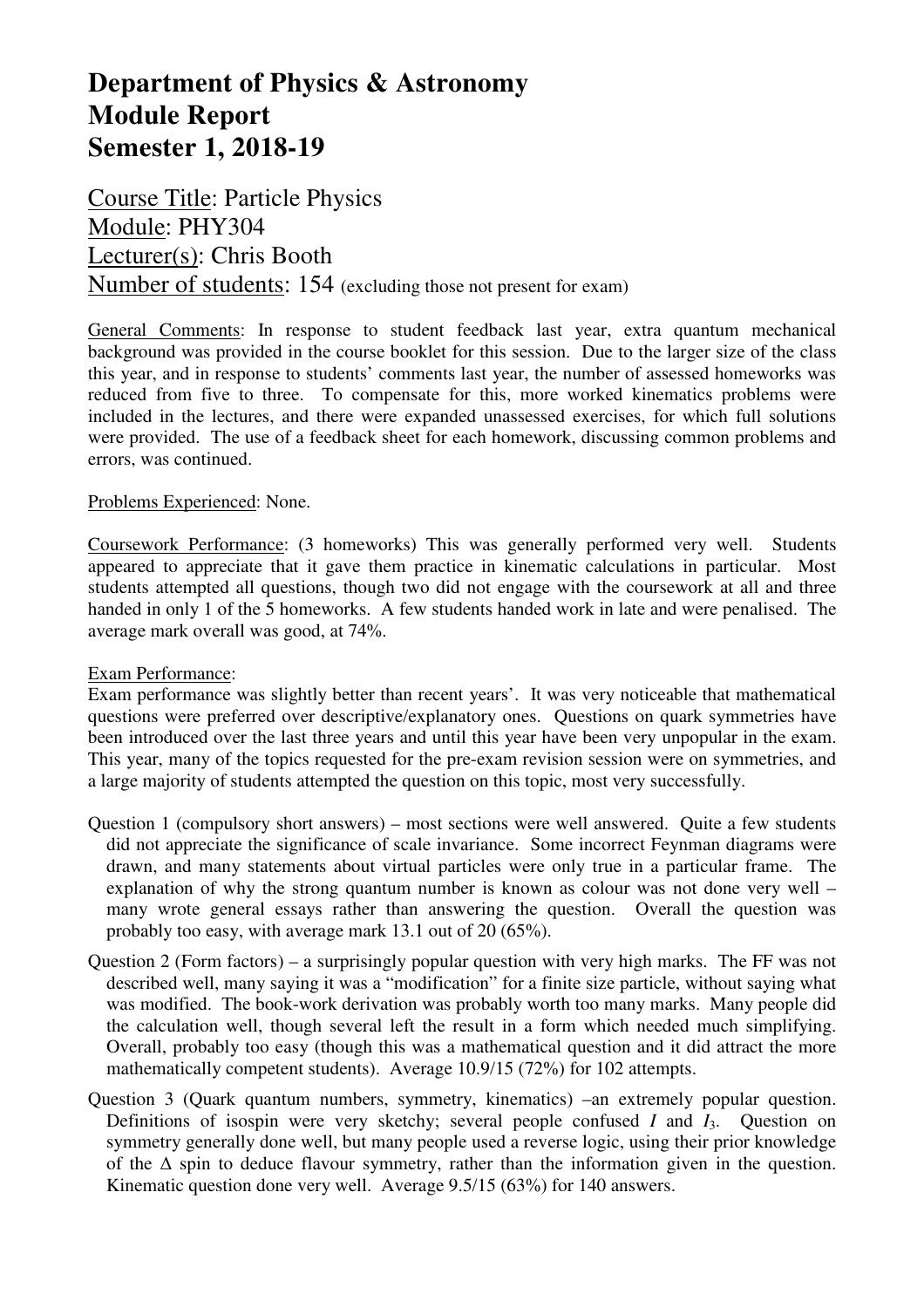# **Department of Physics & Astronomy Module Report Semester 1, 2018-19**

Course Title: Particle Physics Module: PHY304 Lecturer(s): Chris Booth Number of students: 154 (excluding those not present for exam)

General Comments: In response to student feedback last year, extra quantum mechanical background was provided in the course booklet for this session. Due to the larger size of the class this year, and in response to students' comments last year, the number of assessed homeworks was reduced from five to three. To compensate for this, more worked kinematics problems were included in the lectures, and there were expanded unassessed exercises, for which full solutions were provided. The use of a feedback sheet for each homework, discussing common problems and errors, was continued.

### Problems Experienced: None.

Coursework Performance: (3 homeworks) This was generally performed very well. Students appeared to appreciate that it gave them practice in kinematic calculations in particular. Most students attempted all questions, though two did not engage with the coursework at all and three handed in only 1 of the 5 homeworks. A few students handed work in late and were penalised. The average mark overall was good, at 74%.

### Exam Performance:

Exam performance was slightly better than recent years'. It was very noticeable that mathematical questions were preferred over descriptive/explanatory ones. Questions on quark symmetries have been introduced over the last three years and until this year have been very unpopular in the exam. This year, many of the topics requested for the pre-exam revision session were on symmetries, and a large majority of students attempted the question on this topic, most very successfully.

- Question 1 (compulsory short answers) most sections were well answered. Quite a few students did not appreciate the significance of scale invariance. Some incorrect Feynman diagrams were drawn, and many statements about virtual particles were only true in a particular frame. The explanation of why the strong quantum number is known as colour was not done very well – many wrote general essays rather than answering the question. Overall the question was probably too easy, with average mark 13.1 out of 20 (65%).
- Question 2 (Form factors) a surprisingly popular question with very high marks. The FF was not described well, many saying it was a "modification" for a finite size particle, without saying what was modified. The book-work derivation was probably worth too many marks. Many people did the calculation well, though several left the result in a form which needed much simplifying. Overall, probably too easy (though this was a mathematical question and it did attract the more mathematically competent students). Average 10.9/15 (72%) for 102 attempts.
- Question 3 (Quark quantum numbers, symmetry, kinematics) –an extremely popular question. Definitions of isospin were very sketchy; several people confused *I* and *I*3. Question on symmetry generally done well, but many people used a reverse logic, using their prior knowledge of the  $\Delta$  spin to deduce flavour symmetry, rather than the information given in the question. Kinematic question done very well. Average 9.5/15 (63%) for 140 answers.